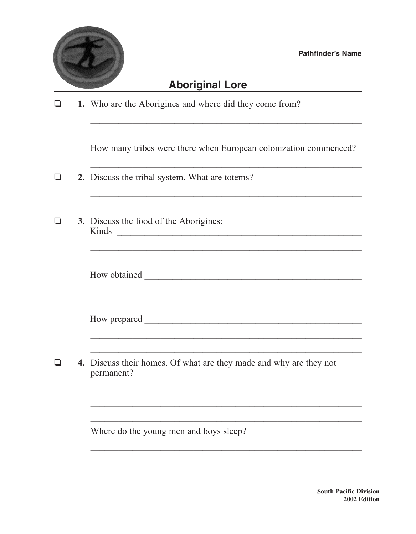

## **Aboriginal Lore**

|  | ❏ |  | 1. Who are the Aborigines and where did they come from? |  |
|--|---|--|---------------------------------------------------------|--|
|--|---|--|---------------------------------------------------------|--|

How many tribes were there when European colonization commenced?

<u> 1989 - Johann Barbara, margaret eta idazlearia (h. 1989).</u>

<u>, and the control of the control of the control of the control of the control of the control of the control of the control of the control of the control of the control of the control of the control of the control of the c</u>

- 2. Discuss the tribal system. What are totems?  $\Box$
- $\Box$ 3. Discuss the food of the Aborigines: Kinds
	-
	-
- $\Box$ 4. Discuss their homes. Of what are they made and why are they not permanent?

Where do the young men and boys sleep?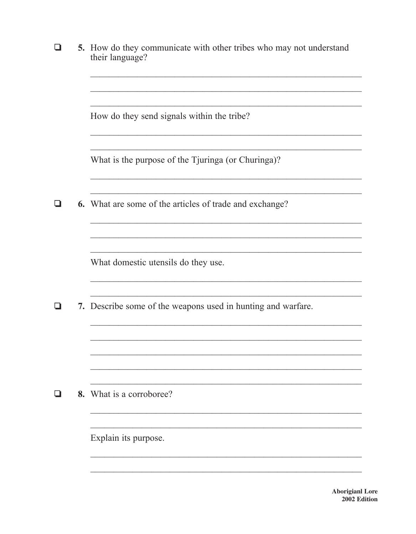| ப | 5. How do they communicate with other tribes who may not understand<br>their language? |  |  |
|---|----------------------------------------------------------------------------------------|--|--|
|   | How do they send signals within the tribe?                                             |  |  |
|   | What is the purpose of the Tjuringa (or Churinga)?                                     |  |  |
|   | <b>6.</b> What are some of the articles of trade and exchange?                         |  |  |
|   | What domestic utensils do they use.                                                    |  |  |
|   | 7. Describe some of the weapons used in hunting and warfare.                           |  |  |
|   |                                                                                        |  |  |
|   | 8. What is a corroboree?                                                               |  |  |
|   | Explain its purpose.                                                                   |  |  |

**Aborigianl Lore** 2002 Edition